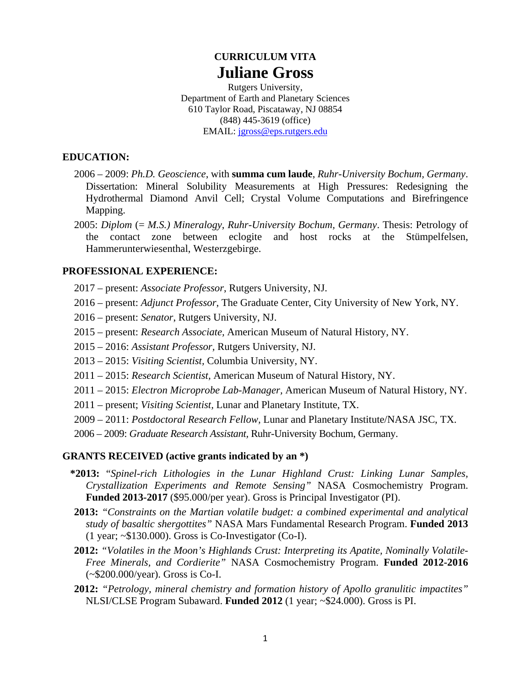# **CURRICULUM VITA Juliane Gross**

Rutgers University, Department of Earth and Planetary Sciences 610 Taylor Road, Piscataway, NJ 08854 (848) 445-3619 (office) EMAIL: jgross@eps.rutgers.edu

#### **EDUCATION:**

- 2006 2009: *Ph.D. Geoscience*, with **summa cum laude**, *Ruhr-University Bochum, Germany*. Dissertation: Mineral Solubility Measurements at High Pressures: Redesigning the Hydrothermal Diamond Anvil Cell; Crystal Volume Computations and Birefringence Mapping.
- 2005: *Diplom* (= *M.S.) Mineralogy*, *Ruhr-University Bochum, Germany*. Thesis: Petrology of the contact zone between eclogite and host rocks at the Stümpelfelsen, Hammerunterwiesenthal, Westerzgebirge.

#### **PROFESSIONAL EXPERIENCE:**

- 2017 present: *Associate Professor*, Rutgers University, NJ.
- 2016 present: *Adjunct Professor*, The Graduate Center, City University of New York, NY.
- 2016 present: *Senator*, Rutgers University, NJ.
- 2015 present: *Research Associate,* American Museum of Natural History, NY.
- 2015 2016: *Assistant Professor,* Rutgers University, NJ.
- 2013 2015: *Visiting Scientist,* Columbia University, NY.
- 2011 2015: *Research Scientist,* American Museum of Natural History, NY.
- 2011 2015: *Electron Microprobe Lab-Manager,* American Museum of Natural History, NY.
- 2011 present; *Visiting Scientist,* Lunar and Planetary Institute, TX.
- 2009 2011: *Postdoctoral Research Fellow,* Lunar and Planetary Institute/NASA JSC, TX.
- 2006 2009: *Graduate Research Assistant,* Ruhr-University Bochum, Germany.

#### **GRANTS RECEIVED (active grants indicated by an \*)**

- **\*2013:** "*Spinel-rich Lithologies in the Lunar Highland Crust: Linking Lunar Samples, Crystallization Experiments and Remote Sensing"* NASA Cosmochemistry Program. **Funded 2013-2017** (\$95.000/per year). Gross is Principal Investigator (PI).
- **2013:** *"Constraints on the Martian volatile budget: a combined experimental and analytical study of basaltic shergottites"* NASA Mars Fundamental Research Program. **Funded 2013** (1 year; ~\$130.000). Gross is Co-Investigator (Co-I).
- **2012:** *"Volatiles in the Moon's Highlands Crust: Interpreting its Apatite, Nominally Volatile-Free Minerals, and Cordierite"* NASA Cosmochemistry Program. **Funded 2012-2016** (~\$200.000/year). Gross is Co-I.
- **2012:** *"Petrology, mineral chemistry and formation history of Apollo granulitic impactites"*  NLSI/CLSE Program Subaward. **Funded 2012** (1 year; ~\$24.000). Gross is PI.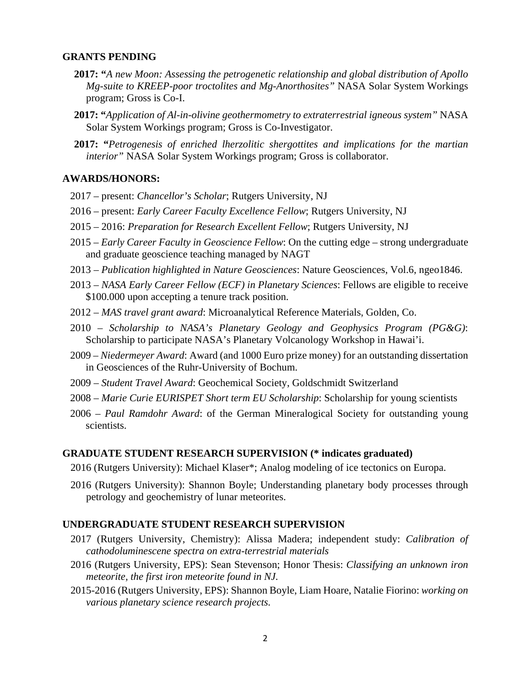#### **GRANTS PENDING**

- **2017: "***A new Moon: Assessing the petrogenetic relationship and global distribution of Apollo Mg-suite to KREEP-poor troctolites and Mg-Anorthosites"* NASA Solar System Workings program; Gross is Co-I.
- **2017: "***Application of Al-in-olivine geothermometry to extraterrestrial igneous system"* NASA Solar System Workings program; Gross is Co-Investigator.
- **2017: "***Petrogenesis of enriched lherzolitic shergottites and implications for the martian interior"* NASA Solar System Workings program; Gross is collaborator.

#### **AWARDS/HONORS:**

- 2017 present: *Chancellor's Scholar*; Rutgers University, NJ
- 2016 present: *Early Career Faculty Excellence Fellow*; Rutgers University, NJ
- 2015 2016: *Preparation for Research Excellent Fellow*; Rutgers University, NJ
- 2015 *Early Career Faculty in Geoscience Fellow*: On the cutting edge strong undergraduate and graduate geoscience teaching managed by NAGT
- 2013 *Publication highlighted in Nature Geosciences*: Nature Geosciences, Vol.6, ngeo1846.
- 2013 *NASA Early Career Fellow (ECF) in Planetary Sciences*: Fellows are eligible to receive \$100.000 upon accepting a tenure track position.
- 2012 *MAS travel grant award*: Microanalytical Reference Materials, Golden, Co.
- 2010 *Scholarship to NASA's Planetary Geology and Geophysics Program (PG&G)*: Scholarship to participate NASA's Planetary Volcanology Workshop in Hawai'i.
- 2009 *Niedermeyer Award*: Award (and 1000 Euro prize money) for an outstanding dissertation in Geosciences of the Ruhr-University of Bochum.
- 2009 *Student Travel Award*: Geochemical Society, Goldschmidt Switzerland
- 2008 *Marie Curie EURISPET Short term EU Scholarship*: Scholarship for young scientists
- 2006 *Paul Ramdohr Award*: of the German Mineralogical Society for outstanding young scientists.

#### **GRADUATE STUDENT RESEARCH SUPERVISION (\* indicates graduated)**

- 2016 (Rutgers University): Michael Klaser\*; Analog modeling of ice tectonics on Europa.
- 2016 (Rutgers University): Shannon Boyle; Understanding planetary body processes through petrology and geochemistry of lunar meteorites.

### **UNDERGRADUATE STUDENT RESEARCH SUPERVISION**

- 2017 (Rutgers University, Chemistry): Alissa Madera; independent study: *Calibration of cathodoluminescene spectra on extra-terrestrial materials*
- 2016 (Rutgers University, EPS): Sean Stevenson; Honor Thesis: *Classifying an unknown iron meteorite, the first iron meteorite found in NJ.*
- 2015-2016 (Rutgers University, EPS): Shannon Boyle, Liam Hoare, Natalie Fiorino: *working on various planetary science research projects.*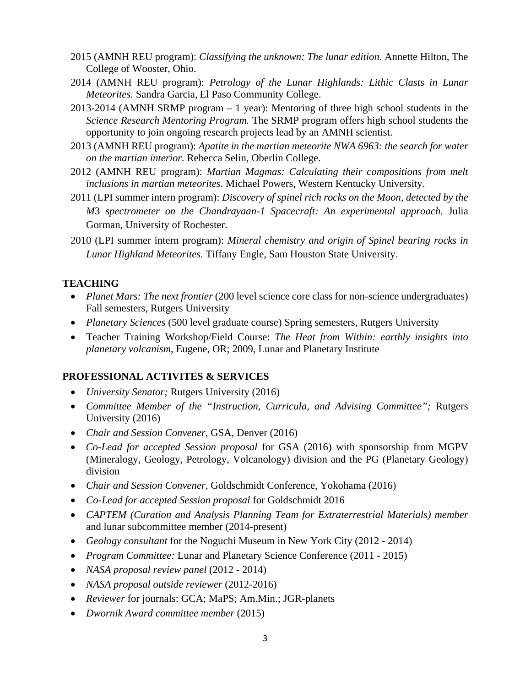- 2015 (AMNH REU program): *Classifying the unknown: The lunar edition.* Annette Hilton, The College of Wooster, Ohio.
- 2014 (AMNH REU program): *Petrology of the Lunar Highlands: Lithic Clasts in Lunar Meteorites.* Sandra Garcia, El Paso Community College.
- 2013-2014 (AMNH SRMP program 1 year): Mentoring of three high school students in the *Science Research Mentoring Program.* The SRMP program offers high school students the opportunity to join ongoing research projects lead by an AMNH scientist.
- 2013 (AMNH REU program): *Apatite in the martian meteorite NWA 6963: the search for water on the martian interior.* Rebecca Selin, Oberlin College.
- 2012 (AMNH REU program): *Martian Magmas: Calculating their compositions from melt inclusions in martian meteorites*. Michael Powers, Western Kentucky University.
- 2011 (LPI summer intern program): *Discovery of spinel rich rocks on the Moon, detected by the M*3 *spectrometer on the Chandrayaan-1 Spacecraft: An experimental approach.* Julia Gorman, University of Rochester.
- 2010 (LPI summer intern program): *Mineral chemistry and origin of Spinel bearing rocks in Lunar Highland Meteorites.* Tiffany Engle, Sam Houston State University.

### **TEACHING**

- Planet Mars: The next frontier (200 level science core class for non-science undergraduates) Fall semesters, Rutgers University
- *Planetary Sciences* (500 level graduate course) Spring semesters, Rutgers University
- Teacher Training Workshop/Field Course: *The Heat from Within: earthly insights into planetary volcanism*, Eugene, OR; 2009, Lunar and Planetary Institute

### **PROFESSIONAL ACTIVITES & SERVICES**

- *University Senator;* Rutgers University (2016)
- *Committee Member of the "Instruction, Curricula, and Advising Committee";* Rutgers University (2016)
- *Chair and Session Convener*, GSA, Denver (2016)
- *Co-Lead for accepted Session proposal* for GSA (2016) with sponsorship from MGPV (Mineralogy, Geology, Petrology, Volcanology) division and the PG (Planetary Geology) division
- *Chair and Session Convener*, Goldschmidt Conference, Yokohama (2016)
- *Co-Lead for accepted Session proposal* for Goldschmidt 2016
- *CAPTEM (Curation and Analysis Planning Team for Extraterrestrial Materials) member*  and lunar subcommittee member (2014-present)
- *Geology consultant* for the Noguchi Museum in New York City (2012 2014)
- *Program Committee:* Lunar and Planetary Science Conference (2011 2015)
- *NASA proposal review panel* (2012 2014)
- *NASA proposal outside reviewer* (2012-2016)
- *Reviewer* for journals: GCA; MaPS; Am.Min.; JGR-planets
- *Dwornik Award committee member* (2015)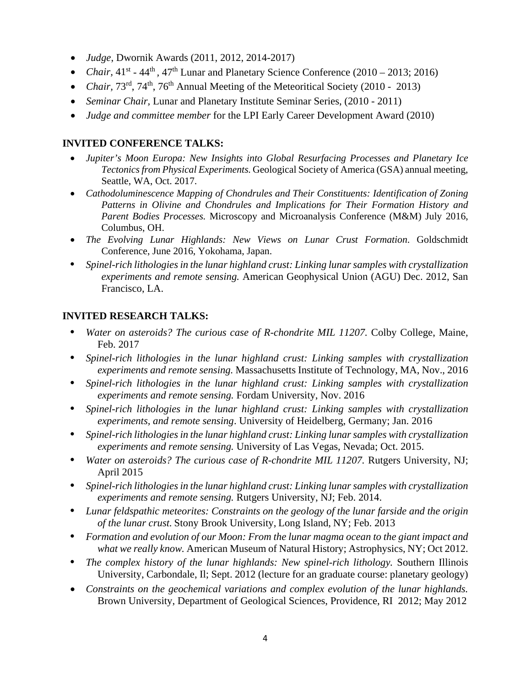- *Judge*, Dwornik Awards (2011, 2012, 2014-2017)
- *Chair*,  $41^{st}$   $44^{th}$ ,  $47^{th}$  Lunar and Planetary Science Conference (2010 2013; 2016)
- *Chair, 73<sup>rd</sup>, 74<sup>th</sup>, 76<sup>th</sup> Annual Meeting of the Meteoritical Society (2010 2013)*
- *Seminar Chair,* Lunar and Planetary Institute Seminar Series, (2010 2011)
- *Judge and committee member* for the LPI Early Career Development Award (2010)

# **INVITED CONFERENCE TALKS:**

- *Jupiter's Moon Europa: New Insights into Global Resurfacing Processes and Planetary Ice Tectonics from Physical Experiments.* Geological Society of America (GSA) annual meeting, Seattle, WA, Oct. 2017.
- *Cathodoluminescence Mapping of Chondrules and Their Constituents: Identification of Zoning Patterns in Olivine and Chondrules and Implications for Their Formation History and Parent Bodies Processes.* Microscopy and Microanalysis Conference (M&M) July 2016, Columbus, OH.
- *The Evolving Lunar Highlands: New Views on Lunar Crust Formation*. Goldschmidt Conference, June 2016, Yokohama, Japan.
- **•** *Spinel-rich lithologies in the lunar highland crust: Linking lunar samples with crystallization experiments and remote sensing.* American Geophysical Union (AGU) Dec. 2012, San Francisco, LA.

# **INVITED RESEARCH TALKS:**

- **•** *Water on asteroids? The curious case of R-chondrite MIL 11207.* Colby College, Maine, Feb. 2017
- **•** *Spinel-rich lithologies in the lunar highland crust: Linking samples with crystallization experiments and remote sensing.* Massachusetts Institute of Technology, MA, Nov., 2016
- **•** *Spinel-rich lithologies in the lunar highland crust: Linking samples with crystallization experiments and remote sensing.* Fordam University, Nov. 2016
- **•** *Spinel-rich lithologies in the lunar highland crust: Linking samples with crystallization experiments, and remote sensing*. University of Heidelberg, Germany; Jan. 2016
- **•** *Spinel-rich lithologies in the lunar highland crust: Linking lunar samples with crystallization experiments and remote sensing.* University of Las Vegas, Nevada; Oct. 2015.
- **•** *Water on asteroids? The curious case of R-chondrite MIL 11207.* Rutgers University, NJ; April 2015
- **•** *Spinel-rich lithologies in the lunar highland crust: Linking lunar samples with crystallization experiments and remote sensing.* Rutgers University, NJ; Feb. 2014.
- **•** *Lunar feldspathic meteorites: Constraints on the geology of the lunar farside and the origin of the lunar crust.* Stony Brook University, Long Island, NY; Feb. 2013
- **•** *Formation and evolution of our Moon: From the lunar magma ocean to the giant impact and what we really know.* American Museum of Natural History; Astrophysics, NY; Oct 2012.
- **•** *The complex history of the lunar highlands: New spinel-rich lithology.* Southern Illinois University, Carbondale, Il; Sept. 2012 (lecture for an graduate course: planetary geology)
- *Constraints on the geochemical variations and complex evolution of the lunar highlands.* Brown University, Department of Geological Sciences, Providence, RI 2012; May 2012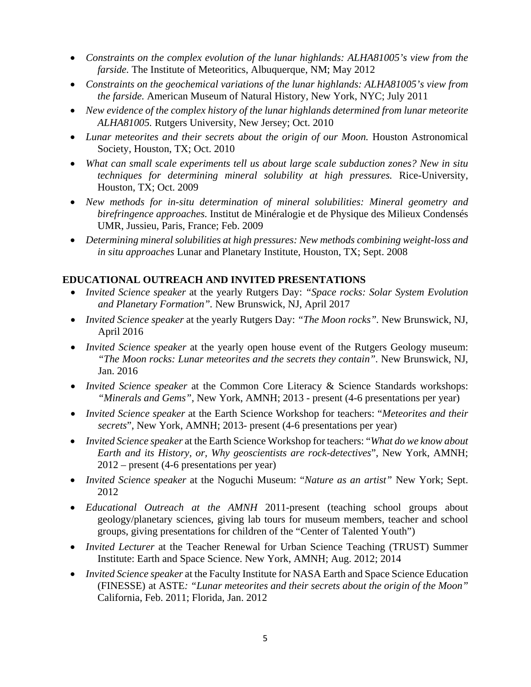- *Constraints on the complex evolution of the lunar highlands: ALHA81005's view from the farside.* The Institute of Meteoritics, Albuquerque, NM; May 2012
- *Constraints on the geochemical variations of the lunar highlands: ALHA81005's view from the farside.* American Museum of Natural History, New York, NYC; July 2011
- *New evidence of the complex history of the lunar highlands determined from lunar meteorite ALHA81005.* Rutgers University, New Jersey; Oct. 2010
- *Lunar meteorites and their secrets about the origin of our Moon.* Houston Astronomical Society, Houston, TX; Oct. 2010
- *What can small scale experiments tell us about large scale subduction zones? New in situ techniques for determining mineral solubility at high pressures.* Rice-University, Houston, TX; Oct. 2009
- *New methods for in-situ determination of mineral solubilities: Mineral geometry and birefringence approaches.* Institut de Minéralogie et de Physique des Milieux Condensés UMR, Jussieu, Paris, France; Feb. 2009
- *Determining mineral solubilities at high pressures: New methods combining weight-loss and in situ approaches* Lunar and Planetary Institute, Houston, TX; Sept. 2008

### **EDUCATIONAL OUTREACH AND INVITED PRESENTATIONS**

- *Invited Science speaker* at the yearly Rutgers Day: *"Space rocks: Solar System Evolution and Planetary Formation".* New Brunswick, NJ, April 2017
- *Invited Science speaker* at the yearly Rutgers Day: *"The Moon rocks".* New Brunswick, NJ, April 2016
- *Invited Science speaker* at the yearly open house event of the Rutgers Geology museum: *"The Moon rocks: Lunar meteorites and the secrets they contain".* New Brunswick, NJ, Jan. 2016
- *Invited Science speaker* at the Common Core Literacy & Science Standards workshops: *"Minerals and Gems"*, New York, AMNH; 2013 - present (4-6 presentations per year)
- *Invited Science speaker* at the Earth Science Workshop for teachers: "*Meteorites and their secrets*", New York, AMNH; 2013- present (4-6 presentations per year)
- *Invited Science speaker* at the Earth Science Workshop for teachers: "*What do we know about Earth and its History, or, Why geoscientists are rock-detectives*", New York, AMNH; 2012 – present (4-6 presentations per year)
- *Invited Science speaker* at the Noguchi Museum: "*Nature as an artist"* New York; Sept. 2012
- *Educational Outreach at the AMNH* 2011-present (teaching school groups about geology/planetary sciences, giving lab tours for museum members, teacher and school groups, giving presentations for children of the "Center of Talented Youth")
- *Invited Lecturer* at the Teacher Renewal for Urban Science Teaching (TRUST) Summer Institute: Earth and Space Science. New York, AMNH; Aug. 2012; 2014
- *Invited Science speaker* at the Faculty Institute for NASA Earth and Space Science Education (FINESSE) at ASTE*: "Lunar meteorites and their secrets about the origin of the Moon"* California, Feb. 2011; Florida, Jan. 2012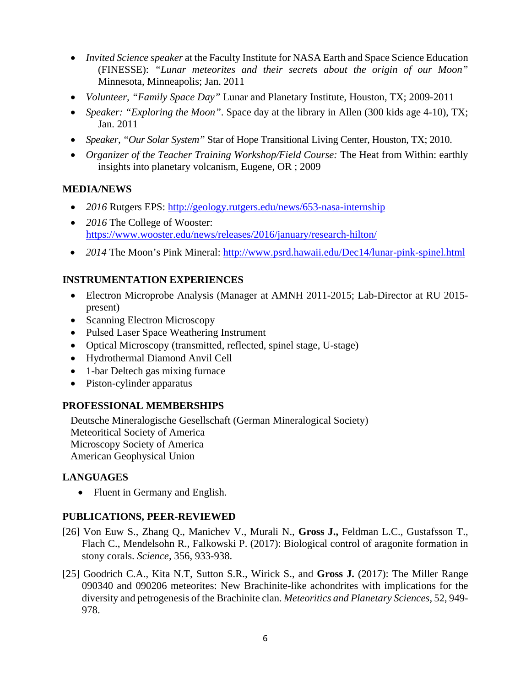- *Invited Science speaker* at the Faculty Institute for NASA Earth and Space Science Education (FINESSE): *"Lunar meteorites and their secrets about the origin of our Moon"* Minnesota, Minneapolis; Jan. 2011
- *Volunteer, "Family Space Day"* Lunar and Planetary Institute, Houston, TX; 2009-2011
- *Speaker: "Exploring the Moon"*. Space day at the library in Allen (300 kids age 4-10), TX; Jan. 2011
- *Speaker, "Our Solar System"* Star of Hope Transitional Living Center, Houston, TX; 2010.
- *Organizer of the Teacher Training Workshop/Field Course:* The Heat from Within: earthly insights into planetary volcanism, Eugene, OR ; 2009

### **MEDIA/NEWS**

- 2016 Rutgers EPS: http://geology.rutgers.edu/news/653-nasa-internship
- 2016 The College of Wooster: https://www.wooster.edu/news/releases/2016/january/research-hilton/
- 2014 The Moon's Pink Mineral: http://www.psrd.hawaii.edu/Dec14/lunar-pink-spinel.html

## **INSTRUMENTATION EXPERIENCES**

- Electron Microprobe Analysis (Manager at AMNH 2011-2015; Lab-Director at RU 2015 present)
- Scanning Electron Microscopy
- Pulsed Laser Space Weathering Instrument
- Optical Microscopy (transmitted, reflected, spinel stage, U-stage)
- Hydrothermal Diamond Anvil Cell
- 1-bar Deltech gas mixing furnace
- Piston-cylinder apparatus

# **PROFESSIONAL MEMBERSHIPS**

Deutsche Mineralogische Gesellschaft (German Mineralogical Society) Meteoritical Society of America Microscopy Society of America American Geophysical Union

### **LANGUAGES**

• Fluent in Germany and English.

# **PUBLICATIONS, PEER-REVIEWED**

- [26] Von Euw S., Zhang Q., Manichev V., Murali N., **Gross J.,** Feldman L.C., Gustafsson T., Flach C., Mendelsohn R., Falkowski P. (2017): Biological control of aragonite formation in stony corals. *Science,* 356, 933-938.
- [25] Goodrich C.A., Kita N.T, Sutton S.R., Wirick S., and **Gross J.** (2017): The Miller Range 090340 and 090206 meteorites: New Brachinite-like achondrites with implications for the diversity and petrogenesis of the Brachinite clan. *Meteoritics and Planetary Sciences,* 52, 949- 978.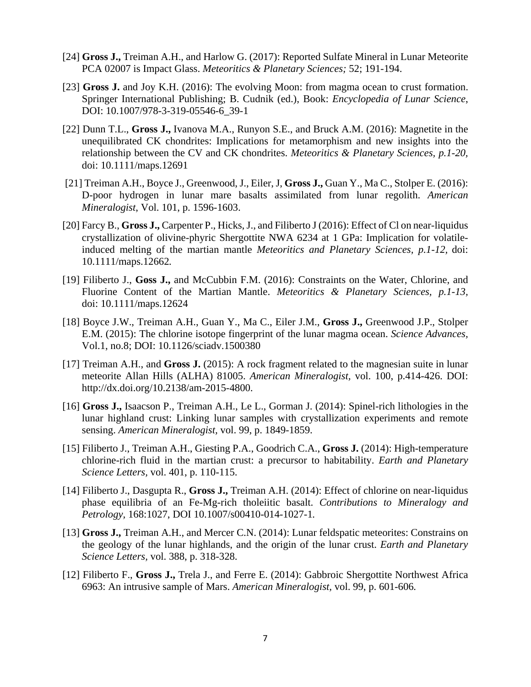- [24] **Gross J.,** Treiman A.H., and Harlow G. (2017): Reported Sulfate Mineral in Lunar Meteorite PCA 02007 is Impact Glass. *Meteoritics & Planetary Sciences;* 52; 191-194.
- [23] **Gross J.** and Joy K.H. (2016): The evolving Moon: from magma ocean to crust formation. Springer International Publishing; B. Cudnik (ed.), Book: *Encyclopedia of Lunar Science*, DOI: 10.1007/978-3-319-05546-6\_39-1
- [22] Dunn T.L., **Gross J.,** Ivanova M.A., Runyon S.E., and Bruck A.M. (2016): Magnetite in the unequilibrated CK chondrites: Implications for metamorphism and new insights into the relationship between the CV and CK chondrites. *Meteoritics & Planetary Sciences, p.1-20,*  doi: 10.1111/maps.12691
- [21] Treiman A.H., Boyce J., Greenwood, J., Eiler, J, **Gross J.,** Guan Y., Ma C., Stolper E. (2016): D-poor hydrogen in lunar mare basalts assimilated from lunar regolith. *American Mineralogist*, Vol. 101, p. 1596-1603.
- [20] Farcy B., **Gross J.,** Carpenter P., Hicks, J., and Filiberto J (2016): Effect of Cl on near-liquidus crystallization of olivine-phyric Shergottite NWA 6234 at 1 GPa: Implication for volatileinduced melting of the martian mantle *Meteoritics and Planetary Sciences, p.1-12,* doi: 10.1111/maps.12662*.*
- [19] Filiberto J., **Goss J.,** and McCubbin F.M. (2016): Constraints on the Water, Chlorine, and Fluorine Content of the Martian Mantle. *Meteoritics & Planetary Sciences, p.1-13,*  doi: 10.1111/maps.12624
- [18] Boyce J.W., Treiman A.H., Guan Y., Ma C., Eiler J.M., **Gross J.,** Greenwood J.P., Stolper E.M. (2015): The chlorine isotope fingerprint of the lunar magma ocean. *Science Advances,*  Vol.1, no.8; DOI: 10.1126/sciadv.1500380
- [17] Treiman A.H., and **Gross J.** (2015): A rock fragment related to the magnesian suite in lunar meteorite Allan Hills (ALHA) 81005. *American Mineralogist,* vol. 100, p.414-426. DOI: http://dx.doi.org/10.2138/am-2015-4800.
- [16] **Gross J.,** Isaacson P., Treiman A.H., Le L., Gorman J. (2014): Spinel-rich lithologies in the lunar highland crust: Linking lunar samples with crystallization experiments and remote sensing. *American Mineralogist,* vol. 99, p. 1849-1859.
- [15] Filiberto J., Treiman A.H., Giesting P.A., Goodrich C.A., **Gross J.** (2014): High-temperature chlorine-rich fluid in the martian crust: a precursor to habitability. *Earth and Planetary Science Letters,* vol. 401, p. 110-115.
- [14] Filiberto J., Dasgupta R., **Gross J.,** Treiman A.H. (2014): Effect of chlorine on near-liquidus phase equilibria of an Fe-Mg-rich tholeiitic basalt. *Contributions to Mineralogy and Petrology,* 168:1027, DOI 10.1007/s00410-014-1027-1*.*
- [13] **Gross J.,** Treiman A.H., and Mercer C.N. (2014): Lunar feldspatic meteorites: Constrains on the geology of the lunar highlands, and the origin of the lunar crust. *Earth and Planetary Science Letters,* vol. 388, p. 318-328.
- [12] Filiberto F., **Gross J.,** Trela J., and Ferre E. (2014): Gabbroic Shergottite Northwest Africa 6963: An intrusive sample of Mars. *American Mineralogist,* vol. 99, p. 601-606*.*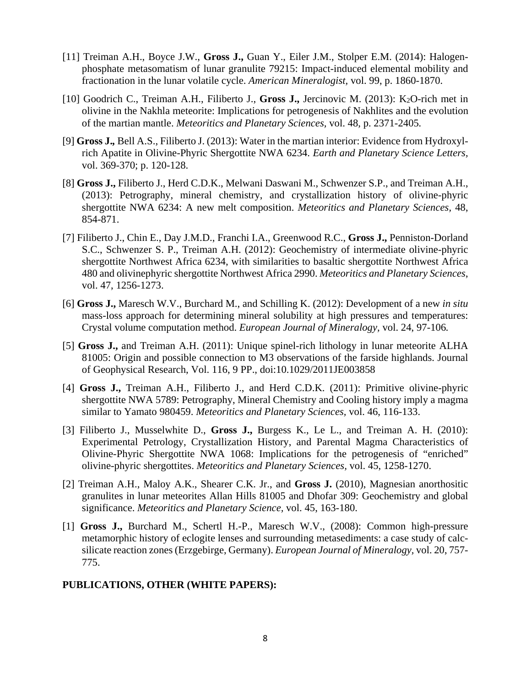- [11] Treiman A.H., Boyce J.W., **Gross J.,** Guan Y., Eiler J.M., Stolper E.M. (2014): Halogenphosphate metasomatism of lunar granulite 79215: Impact-induced elemental mobility and fractionation in the lunar volatile cycle. *American Mineralogist,* vol. 99, p. 1860-1870.
- [10] Goodrich C., Treiman A.H., Filiberto J., **Gross J.,** Jercinovic M. (2013): K2O-rich met in olivine in the Nakhla meteorite: Implications for petrogenesis of Nakhlites and the evolution of the martian mantle. *Meteoritics and Planetary Sciences,* vol. 48*,* p. 2371-2405*.*
- [9] **Gross J.***,* Bell A.S., Filiberto J. (2013): Water in the martian interior: Evidence from Hydroxylrich Apatite in Olivine-Phyric Shergottite NWA 6234. *Earth and Planetary Science Letters,*  vol. 369-370; p. 120-128.
- [8] **Gross J.,** Filiberto J., Herd C.D.K., Melwani Daswani M., Schwenzer S.P., and Treiman A.H., (2013): Petrography, mineral chemistry, and crystallization history of olivine-phyric shergottite NWA 6234: A new melt composition. *Meteoritics and Planetary Sciences,* 48, 854-871.
- [7] Filiberto J., Chin E., Day J.M.D., Franchi I.A., Greenwood R.C., **Gross J.,** Penniston-Dorland S.C., Schwenzer S. P., Treiman A.H. (2012): Geochemistry of intermediate olivine-phyric shergottite Northwest Africa 6234, with similarities to basaltic shergottite Northwest Africa 480 and olivinephyric shergottite Northwest Africa 2990. *Meteoritics and Planetary Sciences*, vol. 47, 1256-1273.
- [6] **Gross J.,** Maresch W.V., Burchard M., and Schilling K. (2012): Development of a new *in situ*  mass-loss approach for determining mineral solubility at high pressures and temperatures: Crystal volume computation method. *European Journal of Mineralogy,* vol. 24, 97-106*.*
- [5] **Gross J.,** and Treiman A.H. (2011): Unique spinel-rich lithology in lunar meteorite ALHA 81005: Origin and possible connection to M3 observations of the farside highlands. Journal of Geophysical Research, Vol. 116, 9 PP., doi:10.1029/2011JE003858
- [4] **Gross J.,** Treiman A.H., Filiberto J., and Herd C.D.K. (2011): Primitive olivine-phyric shergottite NWA 5789: Petrography, Mineral Chemistry and Cooling history imply a magma similar to Yamato 980459. *Meteoritics and Planetary Sciences,* vol. 46, 116-133.
- [3] Filiberto J., Musselwhite D., **Gross J.,** Burgess K., Le L., and Treiman A. H. (2010): Experimental Petrology, Crystallization History, and Parental Magma Characteristics of Olivine-Phyric Shergottite NWA 1068: Implications for the petrogenesis of "enriched" olivine-phyric shergottites. *Meteoritics and Planetary Sciences,* vol. 45, 1258-1270.
- [2] Treiman A.H., Maloy A.K., Shearer C.K. Jr., and **Gross J.** (2010), Magnesian anorthositic granulites in lunar meteorites Allan Hills 81005 and Dhofar 309: Geochemistry and global significance. *Meteoritics and Planetary Science,* vol. 45, 163-180.
- [1] **Gross J.,** Burchard M., Schertl H.-P., Maresch W.V., (2008): Common high-pressure metamorphic history of eclogite lenses and surrounding metasediments: a case study of calcsilicate reaction zones (Erzgebirge, Germany). *European Journal of Mineralogy,* vol. 20, 757- 775.

### **PUBLICATIONS, OTHER (WHITE PAPERS):**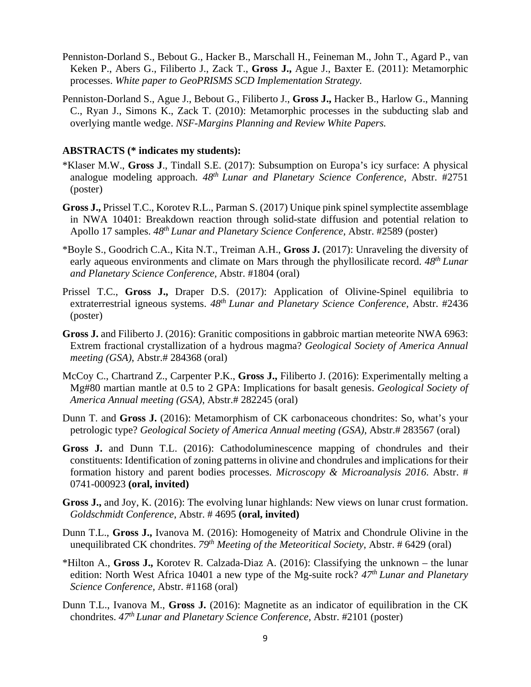- Penniston-Dorland S., Bebout G., Hacker B., Marschall H., Feineman M., John T., Agard P., van Keken P., Abers G., Filiberto J., Zack T., **Gross J.,** Ague J., Baxter E. (2011): Metamorphic processes. *White paper to GeoPRISMS SCD Implementation Strategy.*
- Penniston-Dorland S., Ague J., Bebout G., Filiberto J., **Gross J.,** Hacker B., Harlow G., Manning C., Ryan J., Simons K., Zack T. (2010): Metamorphic processes in the subducting slab and overlying mantle wedge. *NSF-Margins Planning and Review White Papers.*

#### **ABSTRACTS (\* indicates my students):**

- \*Klaser M.W., **Gross J**., Tindall S.E. (2017): Subsumption on Europa's icy surface: A physical analogue modeling approach. *48th Lunar and Planetary Science Conference,* Abstr. #2751 (poster)
- **Gross J.,** Prissel T.C., Korotev R.L., Parman S. (2017) Unique pink spinel symplectite assemblage in NWA 10401: Breakdown reaction through solid-state diffusion and potential relation to Apollo 17 samples. *48th Lunar and Planetary Science Conference,* Abstr. #2589 (poster)
- \*Boyle S., Goodrich C.A., Kita N.T., Treiman A.H., **Gross J.** (2017): Unraveling the diversity of early aqueous environments and climate on Mars through the phyllosilicate record. *48th Lunar and Planetary Science Conference,* Abstr. #1804 (oral)
- Prissel T.C., **Gross J.,** Draper D.S. (2017): Application of Olivine-Spinel equilibria to extraterrestrial igneous systems. *48th Lunar and Planetary Science Conference,* Abstr. #2436 (poster)
- **Gross J.** and Filiberto J. (2016): Granitic compositions in gabbroic martian meteorite NWA 6963: Extrem fractional crystallization of a hydrous magma? *Geological Society of America Annual meeting (GSA)*, Abstr.# 284368 (oral)
- McCoy C., Chartrand Z., Carpenter P.K., **Gross J.,** Filiberto J. (2016): Experimentally melting a Mg#80 martian mantle at 0.5 to 2 GPA: Implications for basalt genesis. *Geological Society of America Annual meeting (GSA)*, Abstr.# 282245 (oral)
- Dunn T. and **Gross J.** (2016): Metamorphism of CK carbonaceous chondrites: So, what's your petrologic type? *Geological Society of America Annual meeting (GSA)*, Abstr.# 283567 (oral)
- **Gross J.** and Dunn T.L. (2016): Cathodoluminescence mapping of chondrules and their constituents: Identification of zoning patterns in olivine and chondrules and implications for their formation history and parent bodies processes. *Microscopy & Microanalysis 2016*. Abstr. # 0741-000923 **(oral, invited)**
- **Gross J.,** and Joy, K. (2016): The evolving lunar highlands: New views on lunar crust formation. *Goldschmidt Conference*, Abstr. # 4695 **(oral, invited)**
- Dunn T.L., **Gross J.,** Ivanova M. (2016): Homogeneity of Matrix and Chondrule Olivine in the unequilibrated CK chondrites. *79th Meeting of the Meteoritical Society*, Abstr. # 6429 (oral)
- \*Hilton A., **Gross J.,** Korotev R. Calzada-Diaz A. (2016): Classifying the unknown the lunar edition: North West Africa 10401 a new type of the Mg-suite rock? *47th Lunar and Planetary Science Conference,* Abstr. #1168 (oral)
- Dunn T.L., Ivanova M., **Gross J.** (2016): Magnetite as an indicator of equilibration in the CK chondrites. *47th Lunar and Planetary Science Conference,* Abstr. #2101 (poster)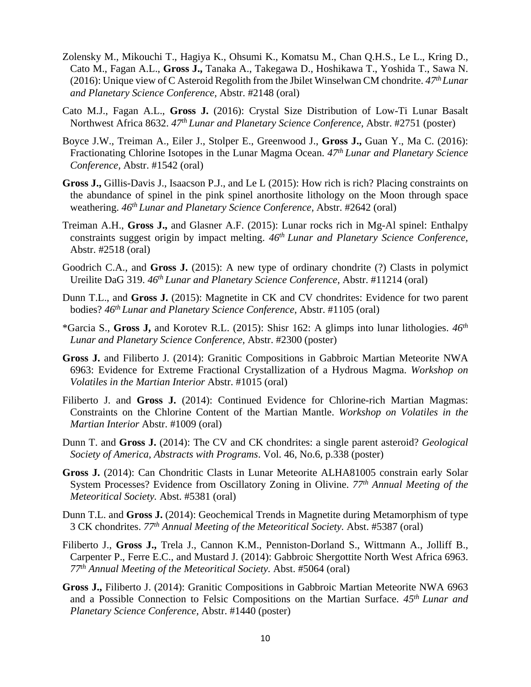- Zolensky M., Mikouchi T., Hagiya K., Ohsumi K., Komatsu M., Chan Q.H.S., Le L., Kring D., Cato M., Fagan A.L., **Gross J.,** Tanaka A., Takegawa D., Hoshikawa T., Yoshida T., Sawa N. (2016): Unique view of C Asteroid Regolith from the Jbilet Winselwan CM chondrite. *47th Lunar and Planetary Science Conference,* Abstr. #2148 (oral)
- Cato M.J., Fagan A.L., **Gross J.** (2016): Crystal Size Distribution of Low-Ti Lunar Basalt Northwest Africa 8632. *47th Lunar and Planetary Science Conference,* Abstr. #2751 (poster)
- Boyce J.W., Treiman A., Eiler J., Stolper E., Greenwood J., **Gross J.,** Guan Y., Ma C. (2016): Fractionating Chlorine Isotopes in the Lunar Magma Ocean. *47th Lunar and Planetary Science Conference,* Abstr. #1542 (oral)
- **Gross J.,** Gillis-Davis J., Isaacson P.J., and Le L (2015): How rich is rich? Placing constraints on the abundance of spinel in the pink spinel anorthosite lithology on the Moon through space weathering. *46th Lunar and Planetary Science Conference,* Abstr. #2642 (oral)
- Treiman A.H., **Gross J.,** and Glasner A.F. (2015): Lunar rocks rich in Mg-Al spinel: Enthalpy constraints suggest origin by impact melting. *46th Lunar and Planetary Science Conference,*  Abstr. #2518 (oral)
- Goodrich C.A., and **Gross J.** (2015): A new type of ordinary chondrite (?) Clasts in polymict Ureilite DaG 319. *46th Lunar and Planetary Science Conference,* Abstr. #11214 (oral)
- Dunn T.L., and **Gross J.** (2015): Magnetite in CK and CV chondrites: Evidence for two parent bodies? *46th Lunar and Planetary Science Conference,* Abstr. #1105 (oral)
- \*Garcia S., **Gross J,** and Korotev R.L. (2015): Shisr 162: A glimps into lunar lithologies. *46th Lunar and Planetary Science Conference,* Abstr. #2300 (poster)
- **Gross J.** and Filiberto J. (2014): Granitic Compositions in Gabbroic Martian Meteorite NWA 6963: Evidence for Extreme Fractional Crystallization of a Hydrous Magma. *Workshop on Volatiles in the Martian Interior* Abstr. #1015 (oral)
- Filiberto J. and **Gross J.** (2014): Continued Evidence for Chlorine-rich Martian Magmas: Constraints on the Chlorine Content of the Martian Mantle. *Workshop on Volatiles in the Martian Interior* Abstr. #1009 (oral)
- Dunn T. and **Gross J.** (2014): The CV and CK chondrites: a single parent asteroid? *Geological Society of America, Abstracts with Programs*. Vol. 46, No.6, p.338 (poster)
- **Gross J.** (2014): Can Chondritic Clasts in Lunar Meteorite ALHA81005 constrain early Solar System Processes? Evidence from Oscillatory Zoning in Olivine. *77th Annual Meeting of the Meteoritical Society.* Abst. #5381 (oral)
- Dunn T.L. and **Gross J.** (2014): Geochemical Trends in Magnetite during Metamorphism of type 3 CK chondrites. *77th Annual Meeting of the Meteoritical Society.* Abst. #5387 (oral)
- Filiberto J., **Gross J.,** Trela J., Cannon K.M., Penniston-Dorland S., Wittmann A., Jolliff B., Carpenter P., Ferre E.C., and Mustard J. (2014): Gabbroic Shergottite North West Africa 6963. *77th Annual Meeting of the Meteoritical Society.* Abst. #5064 (oral)
- **Gross J.,** Filiberto J. (2014): Granitic Compositions in Gabbroic Martian Meteorite NWA 6963 and a Possible Connection to Felsic Compositions on the Martian Surface. *45th Lunar and Planetary Science Conference,* Abstr. #1440 (poster)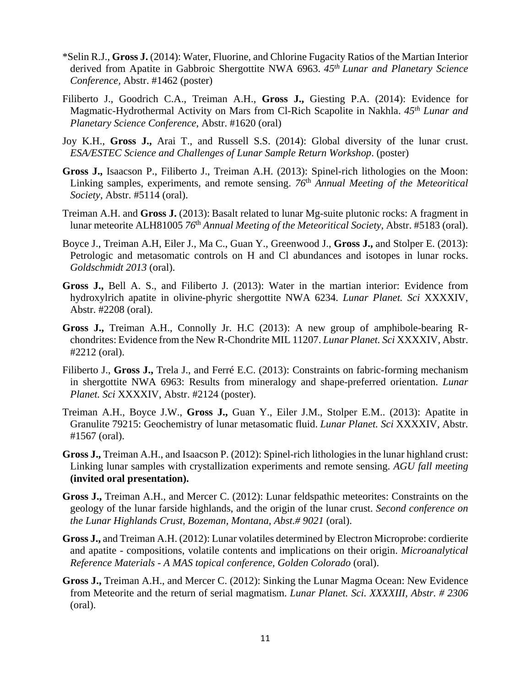- \*Selin R.J., **Gross J.** (2014): Water, Fluorine, and Chlorine Fugacity Ratios of the Martian Interior derived from Apatite in Gabbroic Shergottite NWA 6963. *45th Lunar and Planetary Science Conference,* Abstr. #1462 (poster)
- Filiberto J., Goodrich C.A., Treiman A.H., **Gross J.,** Giesting P.A. (2014): Evidence for Magmatic-Hydrothermal Activity on Mars from Cl-Rich Scapolite in Nakhla. *45th Lunar and Planetary Science Conference*, Abstr. #1620 (oral)
- Joy K.H., **Gross J.,** Arai T., and Russell S.S. (2014): Global diversity of the lunar crust. *ESA/ESTEC Science and Challenges of Lunar Sample Return Workshop*. (poster)
- **Gross J.,** Isaacson P., Filiberto J., Treiman A.H. (2013): Spinel-rich lithologies on the Moon: Linking samples, experiments, and remote sensing. *76*th *Annual Meeting of the Meteoritical Society,* Abstr. #5114 (oral).
- Treiman A.H. and **Gross J.** (2013): Basalt related to lunar Mg-suite plutonic rocks: A fragment in lunar meteorite ALH81005 *76*th *Annual Meeting of the Meteoritical Society,* Abstr. #5183 (oral).
- Boyce J., Treiman A.H, Eiler J., Ma C., Guan Y., Greenwood J., **Gross J.,** and Stolper E. (2013): Petrologic and metasomatic controls on H and Cl abundances and isotopes in lunar rocks. *Goldschmidt 2013* (oral).
- **Gross J.,** Bell A. S., and Filiberto J. (2013): Water in the martian interior: Evidence from hydroxylrich apatite in olivine-phyric shergottite NWA 6234. *Lunar Planet. Sci* XXXXIV, Abstr. #2208 (oral).
- **Gross J.,** Treiman A.H., Connolly Jr. H.C (2013): A new group of amphibole-bearing Rchondrites: Evidence from the New R-Chondrite MIL 11207. *Lunar Planet. Sci* XXXXIV, Abstr. #2212 (oral).
- Filiberto J., **Gross J.,** Trela J., and Ferré E.C. (2013): Constraints on fabric-forming mechanism in shergottite NWA 6963: Results from mineralogy and shape-preferred orientation. *Lunar Planet. Sci* XXXXIV, Abstr. #2124 (poster).
- Treiman A.H., Boyce J.W., **Gross J.,** Guan Y., Eiler J.M., Stolper E.M.. (2013): Apatite in Granulite 79215: Geochemistry of lunar metasomatic fluid. *Lunar Planet. Sci* XXXXIV, Abstr. #1567 (oral).
- **Gross J.,** Treiman A.H., and Isaacson P. (2012): Spinel-rich lithologies in the lunar highland crust: Linking lunar samples with crystallization experiments and remote sensing. *AGU fall meeting*  **(invited oral presentation).**
- **Gross J.,** Treiman A.H., and Mercer C. (2012): Lunar feldspathic meteorites: Constraints on the geology of the lunar farside highlands, and the origin of the lunar crust. *Second conference on the Lunar Highlands Crust, Bozeman, Montana, Abst.# 9021* (oral).
- **Gross J.,** and Treiman A.H. (2012): Lunar volatiles determined by Electron Microprobe: cordierite and apatite - compositions, volatile contents and implications on their origin. *Microanalytical Reference Materials - A MAS topical conference, Golden Colorado* (oral).
- **Gross J.,** Treiman A.H., and Mercer C. (2012): Sinking the Lunar Magma Ocean: New Evidence from Meteorite and the return of serial magmatism. *Lunar Planet. Sci. XXXXIII, Abstr. # 2306*  (oral).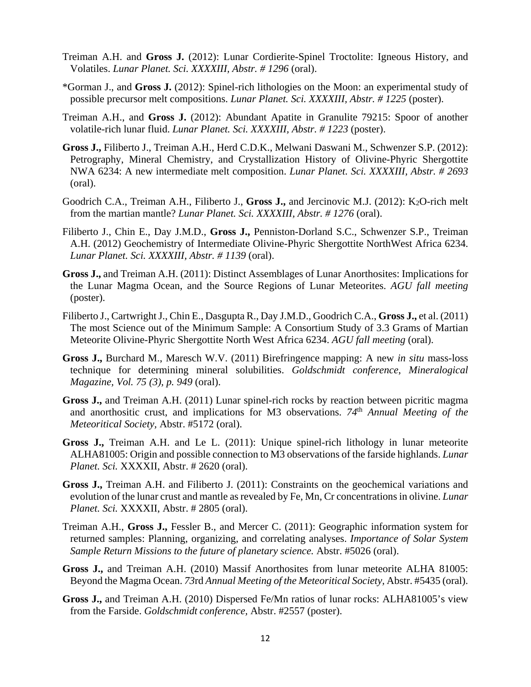- Treiman A.H. and **Gross J.** (2012): Lunar Cordierite-Spinel Troctolite: Igneous History, and Volatiles. *Lunar Planet. Sci. XXXXIII, Abstr. # 1296* (oral).
- \*Gorman J., and **Gross J.** (2012): Spinel-rich lithologies on the Moon: an experimental study of possible precursor melt compositions. *Lunar Planet. Sci. XXXXIII, Abstr. # 1225* (poster).
- Treiman A.H., and **Gross J.** (2012): Abundant Apatite in Granulite 79215: Spoor of another volatile-rich lunar fluid. *Lunar Planet. Sci. XXXXIII, Abstr. # 1223* (poster).
- **Gross J.,** Filiberto J., Treiman A.H., Herd C.D.K., Melwani Daswani M., Schwenzer S.P. (2012): Petrography, Mineral Chemistry, and Crystallization History of Olivine-Phyric Shergottite NWA 6234: A new intermediate melt composition. *Lunar Planet. Sci. XXXXIII, Abstr. # 2693*  (oral).
- Goodrich C.A., Treiman A.H., Filiberto J., Gross J., and Jercinovic M.J. (2012): K<sub>2</sub>O-rich melt from the martian mantle? *Lunar Planet. Sci. XXXXIII, Abstr. # 1276* (oral).
- Filiberto J., Chin E., Day J.M.D., **Gross J.,** Penniston-Dorland S.C., Schwenzer S.P., Treiman A.H. (2012) Geochemistry of Intermediate Olivine-Phyric Shergottite NorthWest Africa 6234. *Lunar Planet. Sci. XXXXIII, Abstr. # 1139* (oral).
- **Gross J.,** and Treiman A.H. (2011): Distinct Assemblages of Lunar Anorthosites: Implications for the Lunar Magma Ocean, and the Source Regions of Lunar Meteorites. *AGU fall meeting*  (poster).
- Filiberto J., Cartwright J., Chin E., Dasgupta R., Day J.M.D., Goodrich C.A., **Gross J.,** et al. (2011) The most Science out of the Minimum Sample: A Consortium Study of 3.3 Grams of Martian Meteorite Olivine-Phyric Shergottite North West Africa 6234. *AGU fall meeting* (oral).
- **Gross J.,** Burchard M., Maresch W.V. (2011) Birefringence mapping: A new *in situ* mass-loss technique for determining mineral solubilities. *Goldschmidt conference*, *Mineralogical Magazine, Vol. 75 (3), p. 949* (oral).
- **Gross J.,** and Treiman A.H. (2011) Lunar spinel-rich rocks by reaction between picritic magma and anorthositic crust, and implications for M3 observations. 74<sup>th</sup> Annual Meeting of the *Meteoritical Society,* Abstr. #5172 (oral).
- **Gross J.,** Treiman A.H. and Le L. (2011): Unique spinel-rich lithology in lunar meteorite ALHA81005: Origin and possible connection to M3 observations of the farside highlands. *Lunar Planet. Sci.* XXXXII, Abstr. # 2620 (oral).
- **Gross J.,** Treiman A.H. and Filiberto J. (2011): Constraints on the geochemical variations and evolution of the lunar crust and mantle as revealed by Fe, Mn, Cr concentrations in olivine. *Lunar Planet. Sci.* XXXXII, Abstr. # 2805 (oral).
- Treiman A.H., **Gross J.,** Fessler B., and Mercer C. (2011): Geographic information system for returned samples: Planning, organizing, and correlating analyses. *Importance of Solar System Sample Return Missions to the future of planetary science.* Abstr. #5026 (oral).
- **Gross J.,** and Treiman A.H. (2010) Massif Anorthosites from lunar meteorite ALHA 81005: Beyond the Magma Ocean. *73*rd *Annual Meeting of the Meteoritical Society,* Abstr. #5435 (oral).
- **Gross J.,** and Treiman A.H. (2010) Dispersed Fe/Mn ratios of lunar rocks: ALHA81005's view from the Farside. *Goldschmidt conference,* Abstr. #2557 (poster).